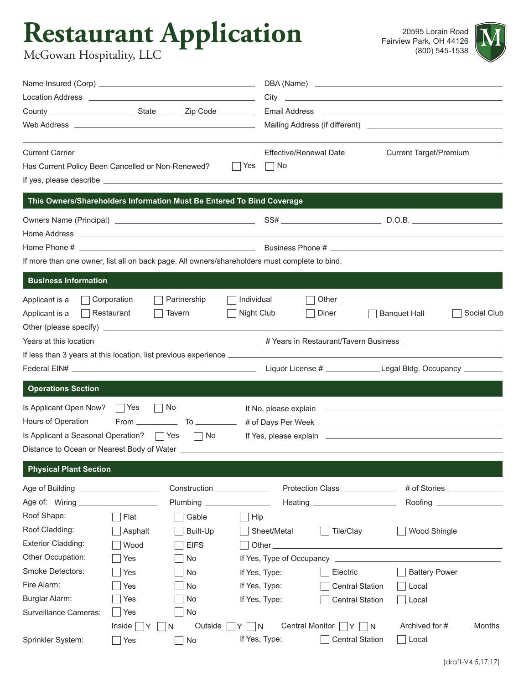# **Restaurant Application**



McGowan Hospitality, LLC

|                                                                                                                                                                                                                                      |                    |                              |                                                                                                                          |               | Effective/Renewal Date ____________ Current Target/Premium ________                                                                                                                                                            |  |                                                                                                                      |             |
|--------------------------------------------------------------------------------------------------------------------------------------------------------------------------------------------------------------------------------------|--------------------|------------------------------|--------------------------------------------------------------------------------------------------------------------------|---------------|--------------------------------------------------------------------------------------------------------------------------------------------------------------------------------------------------------------------------------|--|----------------------------------------------------------------------------------------------------------------------|-------------|
| Has Current Policy Been Cancelled or Non-Renewed?                                                                                                                                                                                    |                    |                              | □ Yes                                                                                                                    | $\vert$ No    |                                                                                                                                                                                                                                |  |                                                                                                                      |             |
|                                                                                                                                                                                                                                      |                    |                              |                                                                                                                          |               |                                                                                                                                                                                                                                |  |                                                                                                                      |             |
| This Owners/Shareholders Information Must Be Entered To Bind Coverage                                                                                                                                                                |                    |                              |                                                                                                                          |               |                                                                                                                                                                                                                                |  | <u> 1989 - Jan Sterling van die Sterling van die Sterling van die Sterling van die Sterling van die Sterling van</u> |             |
|                                                                                                                                                                                                                                      |                    |                              |                                                                                                                          |               |                                                                                                                                                                                                                                |  |                                                                                                                      |             |
|                                                                                                                                                                                                                                      |                    |                              |                                                                                                                          |               |                                                                                                                                                                                                                                |  |                                                                                                                      |             |
|                                                                                                                                                                                                                                      |                    |                              |                                                                                                                          |               |                                                                                                                                                                                                                                |  |                                                                                                                      |             |
| If more than one owner, list all on back page. All owners/shareholders must complete to bind.                                                                                                                                        |                    |                              |                                                                                                                          |               |                                                                                                                                                                                                                                |  |                                                                                                                      |             |
| <b>Business Information</b>                                                                                                                                                                                                          |                    |                              |                                                                                                                          |               |                                                                                                                                                                                                                                |  |                                                                                                                      |             |
| Applicant is a                                                                                                                                                                                                                       | $\Box$ Corporation | Partnership                  | Individual                                                                                                               |               |                                                                                                                                                                                                                                |  | Other than the contract of the contract of the contract of the contract of the contract of the contract of the       |             |
| $\Box$ Restaurant<br>Applicant is a                                                                                                                                                                                                  |                    | Tavern                       | Night Club                                                                                                               |               | Diner                                                                                                                                                                                                                          |  | <b>Banquet Hall</b>                                                                                                  | Social Club |
|                                                                                                                                                                                                                                      |                    |                              |                                                                                                                          |               |                                                                                                                                                                                                                                |  |                                                                                                                      |             |
|                                                                                                                                                                                                                                      |                    |                              |                                                                                                                          |               |                                                                                                                                                                                                                                |  |                                                                                                                      |             |
|                                                                                                                                                                                                                                      |                    |                              |                                                                                                                          |               |                                                                                                                                                                                                                                |  |                                                                                                                      |             |
|                                                                                                                                                                                                                                      |                    |                              |                                                                                                                          |               |                                                                                                                                                                                                                                |  |                                                                                                                      |             |
| <b>Operations Section</b>                                                                                                                                                                                                            |                    |                              |                                                                                                                          |               |                                                                                                                                                                                                                                |  |                                                                                                                      |             |
| Is Applicant Open Now? $\Box$ Yes                                                                                                                                                                                                    |                    | No                           |                                                                                                                          |               |                                                                                                                                                                                                                                |  |                                                                                                                      |             |
| Hours of Operation                                                                                                                                                                                                                   |                    | $From ______  To ______ $    |                                                                                                                          |               |                                                                                                                                                                                                                                |  |                                                                                                                      |             |
| Is Applicant a Seasonal Operation?   Yes   No                                                                                                                                                                                        |                    |                              |                                                                                                                          |               |                                                                                                                                                                                                                                |  |                                                                                                                      |             |
| Distance to Ocean or Nearest Body of Water <b>Community Contract Contract Contract Contract Contract Contract Contract Contract Contract Contract Contract Contract Contract Contract Contract Contract Contract Contract Contra</b> |                    |                              |                                                                                                                          |               |                                                                                                                                                                                                                                |  |                                                                                                                      |             |
| <b>Physical Plant Section</b>                                                                                                                                                                                                        |                    |                              |                                                                                                                          |               |                                                                                                                                                                                                                                |  |                                                                                                                      |             |
| Age of Building ______________________                                                                                                                                                                                               |                    | Construction _______________ |                                                                                                                          |               | Protection Class ______________                                                                                                                                                                                                |  |                                                                                                                      |             |
| Age of: Wiring <b>Example 2018</b>                                                                                                                                                                                                   |                    | Plumbing _                   | $\mathcal{L}^{\mathcal{L}}(\mathcal{L}^{\mathcal{L}})$ and $\mathcal{L}^{\mathcal{L}}(\mathcal{L}^{\mathcal{L}})$ . Then |               | Heating _____________________                                                                                                                                                                                                  |  | Roofing _                                                                                                            |             |
| Roof Shape:                                                                                                                                                                                                                          | Flat               | Gable                        | Hip                                                                                                                      |               |                                                                                                                                                                                                                                |  |                                                                                                                      |             |
| Roof Cladding:                                                                                                                                                                                                                       | Asphalt            | Built-Up                     |                                                                                                                          | Sheet/Metal   | Tile/Clay                                                                                                                                                                                                                      |  | Wood Shingle                                                                                                         |             |
| <b>Exterior Cladding:</b>                                                                                                                                                                                                            | Wood               | <b>EIFS</b>                  |                                                                                                                          |               | Other experiences and the contract of the contract of the contract of the contract of the contract of the contract of the contract of the contract of the contract of the contract of the contract of the contract of the cont |  |                                                                                                                      |             |
| Other Occupation:                                                                                                                                                                                                                    | Yes                | No                           |                                                                                                                          |               | If Yes, Type of Occupancy _____________                                                                                                                                                                                        |  |                                                                                                                      |             |
| Smoke Detectors:                                                                                                                                                                                                                     | Yes                | No                           |                                                                                                                          | If Yes, Type: | Electric                                                                                                                                                                                                                       |  | <b>Battery Power</b>                                                                                                 |             |
| Fire Alarm:                                                                                                                                                                                                                          | Yes                | No                           |                                                                                                                          | If Yes, Type: | <b>Central Station</b>                                                                                                                                                                                                         |  | Local                                                                                                                |             |
| Burglar Alarm:                                                                                                                                                                                                                       | Yes                | No                           |                                                                                                                          | If Yes, Type: | <b>Central Station</b>                                                                                                                                                                                                         |  | Local                                                                                                                |             |
| Surveillance Cameras:                                                                                                                                                                                                                | $\Box$ Yes         | No                           |                                                                                                                          |               |                                                                                                                                                                                                                                |  |                                                                                                                      |             |
|                                                                                                                                                                                                                                      | Inside<br>IY       | Outside<br>N                 | $\overline{N}$<br>Y.                                                                                                     |               | Central Monitor $\Box Y \Box N$                                                                                                                                                                                                |  | Archived for # _______ Months                                                                                        |             |
| Sprinkler System:                                                                                                                                                                                                                    | <b>Yes</b>         | No                           |                                                                                                                          | If Yes, Type: | <b>Central Station</b>                                                                                                                                                                                                         |  | $\Box$ Local                                                                                                         |             |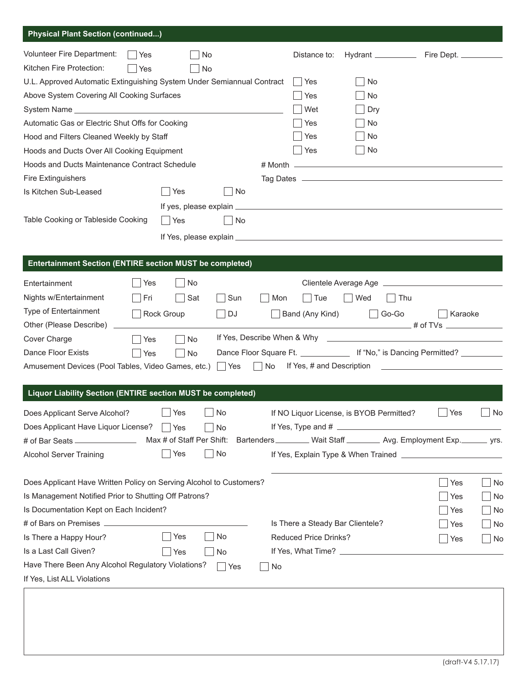| <b>Physical Plant Section (continued)</b>                                                                                                                                                                                      |                                                                                                                 |
|--------------------------------------------------------------------------------------------------------------------------------------------------------------------------------------------------------------------------------|-----------------------------------------------------------------------------------------------------------------|
| Volunteer Fire Department:<br>  Yes<br>No                                                                                                                                                                                      | Hydrant __________<br>Fire Dept. ___________<br>Distance to:                                                    |
| Kitchen Fire Protection:<br>No<br> Yes                                                                                                                                                                                         |                                                                                                                 |
| U.L. Approved Automatic Extinguishing System Under Semiannual Contract                                                                                                                                                         | Yes<br>No                                                                                                       |
| Above System Covering All Cooking Surfaces                                                                                                                                                                                     | Yes<br>No                                                                                                       |
| System Name https://www.archive.com/contract/contract/contract/contract/contract/contract/contract/contract/contract/contract/contract/contract/contract/contract/contract/contract/contract/contract/contract/contract/contra | $\exists$ Wet<br>Dry                                                                                            |
| Automatic Gas or Electric Shut Offs for Cooking                                                                                                                                                                                | Yes<br>No                                                                                                       |
| Hood and Filters Cleaned Weekly by Staff                                                                                                                                                                                       | Yes<br>No                                                                                                       |
| Hoods and Ducts Over All Cooking Equipment                                                                                                                                                                                     | $\blacksquare$ Yes<br>No                                                                                        |
| Hoods and Ducts Maintenance Contract Schedule                                                                                                                                                                                  |                                                                                                                 |
| <b>Fire Extinguishers</b>                                                                                                                                                                                                      |                                                                                                                 |
| Yes<br>No<br>Is Kitchen Sub-Leased                                                                                                                                                                                             |                                                                                                                 |
|                                                                                                                                                                                                                                |                                                                                                                 |
| Table Cooking or Tableside Cooking<br>  Yes<br>No                                                                                                                                                                              |                                                                                                                 |
|                                                                                                                                                                                                                                |                                                                                                                 |
|                                                                                                                                                                                                                                |                                                                                                                 |
| Entertainment Section (ENTIRE section MUST be completed)                                                                                                                                                                       |                                                                                                                 |
| No<br>Entertainment<br>Yes                                                                                                                                                                                                     |                                                                                                                 |
| Nights w/Entertainment<br>Sun<br>Fri<br>Sat                                                                                                                                                                                    | $\vert$ Tue<br>  Wed<br>Thu<br>Mon                                                                              |
| Type of Entertainment<br>Rock Group<br>$\Box$ DJ                                                                                                                                                                               | Go-Go<br>Band (Any Kind)<br>Karaoke                                                                             |
| Other (Please Describe)                                                                                                                                                                                                        |                                                                                                                 |
| Cover Charge<br>Yes<br>No                                                                                                                                                                                                      |                                                                                                                 |
| Dance Floor Exists<br>No<br>Yes                                                                                                                                                                                                | Dance Floor Square Ft. ________________ If "No," is Dancing Permitted? _________                                |
| Amusement Devices (Pool Tables, Video Games, etc.)<br>$ $ Yes                                                                                                                                                                  | If Yes, # and Description<br>  No<br>the control of the control of the control of the control of the control of |
| Liquor Liability Section (ENTIRE section MUST be completed)                                                                                                                                                                    |                                                                                                                 |
| Does Applicant Serve Alcohol? The Tres The No                                                                                                                                                                                  |                                                                                                                 |
|                                                                                                                                                                                                                                | If NO Liquor License, is BYOB Permitted?<br>Tes<br>$\Box$ No                                                    |
| Does Applicant Have Liquor License?<br>No<br>Yes<br>Max # of Staff Per Shift:<br># of Bar Seats ______________                                                                                                                 | Bartenders __________ Wait Staff __________ Avg. Employment Exp. _______ yrs.                                   |
| Yes<br>$\vert$ No<br><b>Alcohol Server Training</b>                                                                                                                                                                            |                                                                                                                 |
|                                                                                                                                                                                                                                |                                                                                                                 |
| Does Applicant Have Written Policy on Serving Alcohol to Customers?                                                                                                                                                            | Yes<br>No                                                                                                       |
| Is Management Notified Prior to Shutting Off Patrons?                                                                                                                                                                          | Yes<br>No                                                                                                       |
| Is Documentation Kept on Each Incident?                                                                                                                                                                                        | No<br>Yes                                                                                                       |
| # of Bars on Premises ________                                                                                                                                                                                                 | Is There a Steady Bar Clientele?<br>No<br>Yes                                                                   |
| Yes<br>No<br>Is There a Happy Hour?                                                                                                                                                                                            | <b>Reduced Price Drinks?</b><br>No<br>Yes                                                                       |
| Is a Last Call Given?<br>Yes<br>No                                                                                                                                                                                             |                                                                                                                 |
| Have There Been Any Alcohol Regulatory Violations?<br>Yes                                                                                                                                                                      | No.                                                                                                             |
| If Yes, List ALL Violations                                                                                                                                                                                                    |                                                                                                                 |
|                                                                                                                                                                                                                                |                                                                                                                 |
|                                                                                                                                                                                                                                |                                                                                                                 |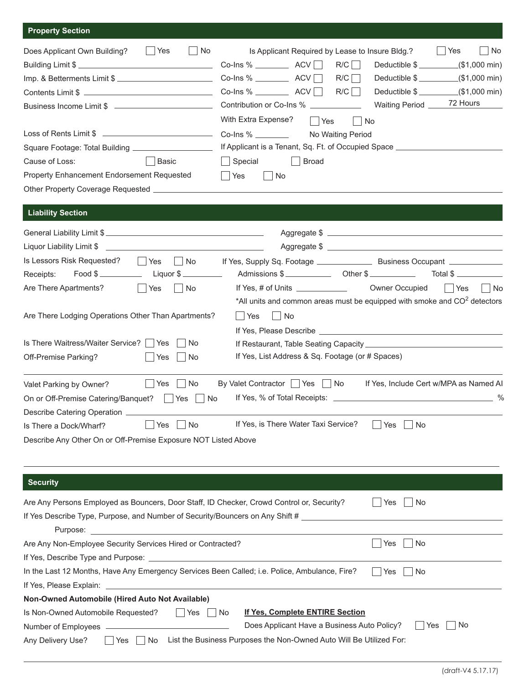# **Property Section**

Number of Employees

Any Delivery Use?

| <b>Property Section</b>                                                                       |                                                                                                                |
|-----------------------------------------------------------------------------------------------|----------------------------------------------------------------------------------------------------------------|
| Does Applicant Own Building?<br>$\lceil$ No<br>  Yes                                          | Is Applicant Required by Lease to Insure Bldg.?<br>  Yes<br>$\vert$ $\vert$ No                                 |
| Building Limit \$                                                                             | R/C<br>$Co$ -Ins % $\_\_\_\_\_\_\_\_\_\_\$ ACV                                                                 |
| Imp. & Betterments Limit \$                                                                   | R/C<br>Co-lns % $\frac{1}{2}$ ACV                                                                              |
| Contents Limit \$                                                                             | $Co$ -Ins % $\_\_\_\_\_\_\_\_\_\$ ACV $\_\_\_\$ R/C $\_\_\_\$                                                  |
| Business Income Limit \$                                                                      | Waiting Period ______ 72 Hours<br>Contribution or Co-Ins %                                                     |
|                                                                                               | With Extra Expense?<br>$ $ Yes<br>No                                                                           |
| Loss of Rents Limit \$                                                                        | Co-Ins $%$ ________<br>No Waiting Period                                                                       |
| Square Footage: Total Building ______________________                                         | If Applicant is a Tenant, Sq. Ft. of Occupied Space _______________                                            |
| Basic<br>Cause of Loss:                                                                       | $\Box$ Special<br><b>Broad</b><br>$\overline{\phantom{0}}$                                                     |
| <b>Property Enhancement Endorsement Requested</b>                                             | Yes<br>No<br>$\overline{\phantom{0}}$                                                                          |
|                                                                                               |                                                                                                                |
| <b>Liability Section</b>                                                                      |                                                                                                                |
|                                                                                               |                                                                                                                |
| General Liability Limit \$                                                                    |                                                                                                                |
|                                                                                               |                                                                                                                |
| Is Lessors Risk Requested? □ Yes □ No<br>$Food $ 1$ Liquor $$ 2$                              | Admissions \$                                                                                                  |
| Receipts:<br>Are There Apartments?<br>$ $ Yes<br>  No                                         | If Yes, $\#$ of Units $\sqrt{2\pi}$<br>Owner Occupied<br>$ $ Yes<br>∣No                                        |
|                                                                                               | *All units and common areas must be equipped with smoke and $CO2$ detectors                                    |
| Are There Lodging Operations Other Than Apartments?                                           | ∣ ∣Yes<br>$\vert$ No                                                                                           |
|                                                                                               |                                                                                                                |
| Is There Waitress/Waiter Service?     Yes  <br>No.                                            |                                                                                                                |
| No<br>Off-Premise Parking?<br>l Yes                                                           | If Yes, List Address & Sq. Footage (or # Spaces)                                                               |
|                                                                                               |                                                                                                                |
| $ $ Yes $ $ No<br>Valet Parking by Owner?                                                     | By Valet Contractor Set Set Show If Yes, Include Cert w/MPA as Named AI                                        |
| On or Off-Premise Catering/Banquet?   Yes No                                                  | $\%$                                                                                                           |
| Describe Catering Operation _                                                                 |                                                                                                                |
| No<br>Yes<br>Is There a Dock/Wharf?                                                           | If Yes, is There Water Taxi Service?<br>Yes<br>No                                                              |
| Describe Any Other On or Off-Premise Exposure NOT Listed Above                                |                                                                                                                |
|                                                                                               |                                                                                                                |
|                                                                                               |                                                                                                                |
| <b>Security</b>                                                                               |                                                                                                                |
| Are Any Persons Employed as Bouncers, Door Staff, ID Checker, Crowd Control or, Security?     | Yes<br>No.                                                                                                     |
|                                                                                               | If Yes Describe Type, Purpose, and Number of Security/Bouncers on Any Shift # ________________________________ |
| Purpose:                                                                                      |                                                                                                                |
| Are Any Non-Employee Security Services Hired or Contracted?                                   | No<br>Yes                                                                                                      |
|                                                                                               |                                                                                                                |
| In the Last 12 Months, Have Any Emergency Services Been Called; i.e. Police, Ambulance, Fire? | Yes<br>No.                                                                                                     |
|                                                                                               |                                                                                                                |
| Non-Owned Automobile (Hired Auto Not Available)                                               |                                                                                                                |
| Is Non-Owned Automobile Requested?<br>Yes                                                     | If Yes, Complete ENTIRE Section<br>No.                                                                         |

Yes  $\Box$  No  $\Box$  List the Business Purposes the Non-Owned Auto Will Be Utilized For:

Does Applicant Have a Business Auto Policy?

Yes No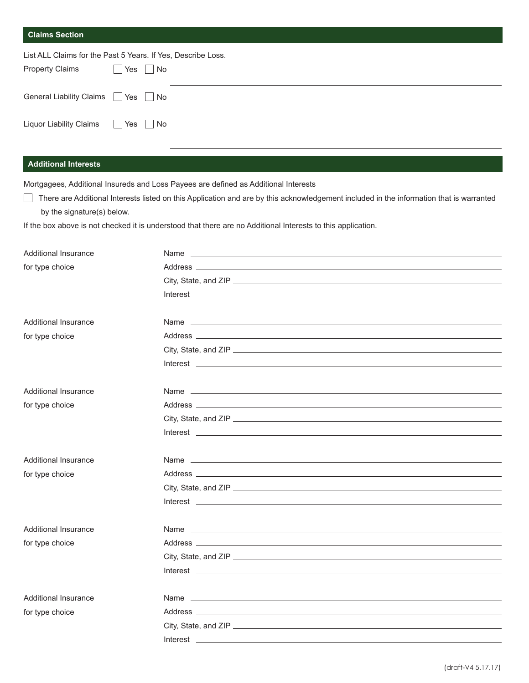## **Claims Section**

| List ALL Claims for the Past 5 Years. If Yes, Describe Loss. |                      |  |  |  |
|--------------------------------------------------------------|----------------------|--|--|--|
| <b>Property Claims</b>                                       | $\Box$ Yes $\Box$ No |  |  |  |
| General Liability Claims   Yes   No                          |                      |  |  |  |
| Liquor Liability Claims   Yes   No                           |                      |  |  |  |

# **Additional Interests**

Mortgagees, Additional Insureds and Loss Payees are defined as Additional Interests

There are Additional Interests listed on this Application and are by this acknowledgement included in the information that is warranted by the signature(s) below.

If the box above is not checked it is understood that there are no Additional Interests to this application.

| <b>Additional Insurance</b> | Name and the contract of the contract of the contract of the contract of the contract of the contract of the contract of the contract of the contract of the contract of the contract of the contract of the contract of the c       |  |
|-----------------------------|--------------------------------------------------------------------------------------------------------------------------------------------------------------------------------------------------------------------------------------|--|
| for type choice             |                                                                                                                                                                                                                                      |  |
|                             | City, State, and ZIP                                                                                                                                                                                                                 |  |
|                             | Interest <u>and the community of the community of the community of the community of the community of the community of the community of the community of the community of the community of the community of the community of the </u> |  |
|                             |                                                                                                                                                                                                                                      |  |
| Additional Insurance        |                                                                                                                                                                                                                                      |  |
| for type choice             |                                                                                                                                                                                                                                      |  |
|                             | City, State, and ZIP                                                                                                                                                                                                                 |  |
|                             | Interest and the contract of the contract of the contract of the contract of the contract of the contract of the contract of the contract of the contract of the contract of the contract of the contract of the contract of t       |  |
|                             |                                                                                                                                                                                                                                      |  |
| <b>Additional Insurance</b> |                                                                                                                                                                                                                                      |  |
| for type choice             |                                                                                                                                                                                                                                      |  |
|                             |                                                                                                                                                                                                                                      |  |
|                             | Interest <b>contract the contract of the contract of the contract of the contract of the contract of the contract of the contract of the contract of the contract of the contract of the contract of the contract of the contrac</b> |  |
|                             |                                                                                                                                                                                                                                      |  |
| Additional Insurance        |                                                                                                                                                                                                                                      |  |
| for type choice             |                                                                                                                                                                                                                                      |  |
|                             |                                                                                                                                                                                                                                      |  |
|                             |                                                                                                                                                                                                                                      |  |
|                             |                                                                                                                                                                                                                                      |  |
| Additional Insurance        |                                                                                                                                                                                                                                      |  |
| for type choice             |                                                                                                                                                                                                                                      |  |
|                             |                                                                                                                                                                                                                                      |  |
|                             | Interest <b>contract the contract of the contract of the contract of the contract of the contract of the contract of the contract of the contract of the contract of the contract of the contract of the contract of the contrac</b> |  |
|                             |                                                                                                                                                                                                                                      |  |
| <b>Additional Insurance</b> |                                                                                                                                                                                                                                      |  |
| for type choice             |                                                                                                                                                                                                                                      |  |
|                             |                                                                                                                                                                                                                                      |  |
|                             | Interest <b>contract and contract and contract of the contract of the contract of the contract of the contract of the contract of the contract of the contract of the contract of the contract of the contract of the contract o</b> |  |